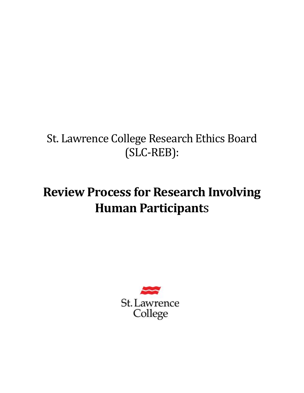# St. Lawrence College Research Ethics Board (SLC-REB):

# **Review Process for Research Involving Human Participant**s

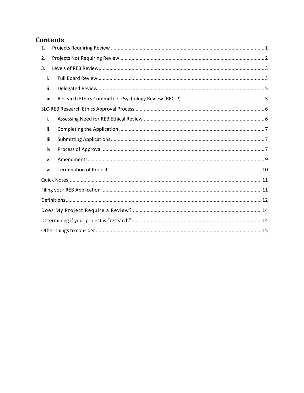# **Contents**

| 1.   |  |
|------|--|
| 2.   |  |
| 3.   |  |
| i.   |  |
| ii.  |  |
| iii. |  |
|      |  |
| i.   |  |
| ii.  |  |
| iii. |  |
| iv.  |  |
| v.   |  |
| vi.  |  |
|      |  |
|      |  |
|      |  |
|      |  |
|      |  |
|      |  |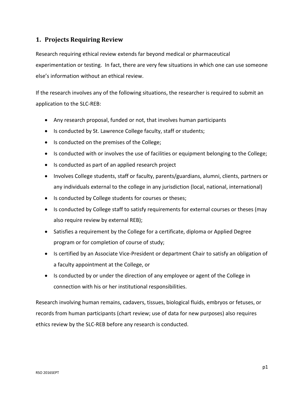# <span id="page-2-0"></span>**1. Projects Requiring Review**

Research requiring ethical review extends far beyond medical or pharmaceutical experimentation or testing. In fact, there are very few situations in which one can use someone else's information without an ethical review.

If the research involves any of the following situations, the researcher is required to submit an application to the SLC-REB:

- Any research proposal, funded or not, that involves human participants
- Is conducted by St. Lawrence College faculty, staff or students;
- Is conducted on the premises of the College;
- Is conducted with or involves the use of facilities or equipment belonging to the College;
- Is conducted as part of an applied research project
- Involves College students, staff or faculty, parents/guardians, alumni, clients, partners or any individuals external to the college in any jurisdiction (local, national, international)
- Is conducted by College students for courses or theses;
- Is conducted by College staff to satisfy requirements for external courses or theses (may also require review by external REB);
- Satisfies a requirement by the College for a certificate, diploma or Applied Degree program or for completion of course of study;
- Is certified by an Associate Vice-President or department Chair to satisfy an obligation of a faculty appointment at the College, or
- Is conducted by or under the direction of any employee or agent of the College in connection with his or her institutional responsibilities.

Research involving human remains, cadavers, tissues, biological fluids, embryos or fetuses, or records from human participants (chart review; use of data for new purposes) also requires ethics review by the SLC-REB before any research is conducted.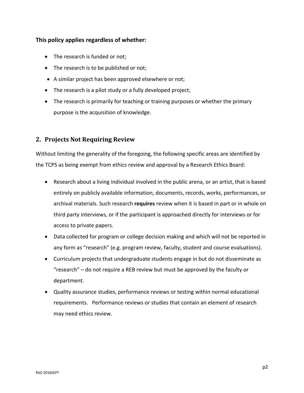#### **This policy applies regardless of whether:**

- The research is funded or not;
- The research is to be published or not;
- A similar project has been approved elsewhere or not;
- The research is a pilot study or a fully developed project;
- The research is primarily for teaching or training purposes or whether the primary purpose is the acquisition of knowledge.

# <span id="page-3-0"></span>**2. Projects Not Requiring Review**

Without limiting the generality of the foregoing, the following specific areas are identified by the TCPS as being exempt from ethics review and approval by a Research Ethics Board:

- Research about a living individual involved in the public arena, or an artist, that is based entirely on publicly available information, documents, records, works, performances, or archival materials. Such research **requires** review when it is based in part or in whole on third party interviews, or if the participant is approached directly for interviews or for access to private papers.
- Data collected for program or college decision making and which will not be reported in any form as "research" (e.g. program review, faculty, student and course evaluations).
- Curriculum projects that undergraduate students engage in but do not disseminate as "research" – do not require a REB review but must be approved by the faculty or department.
- Quality assurance studies, performance reviews or testing within normal educational requirements. Performance reviews or studies that contain an element of research may need ethics review.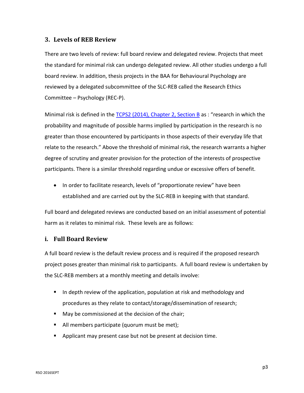### <span id="page-4-0"></span>**3. Levels of REB Review**

There are two levels of review: full board review and delegated review. Projects that meet the standard for minimal risk can undergo delegated review. All other studies undergo a full board review. In addition, thesis projects in the BAA for Behavioural Psychology are reviewed by a delegated subcommittee of the SLC-REB called the Research Ethics Committee – Psychology (REC-P).

Minimal risk is defined in the [TCPS2 \(2014\), Chapter 2, Section B](http://www.pre.ethics.gc.ca/eng/policy-politique/initiatives/tcps2-eptc2/chapter2-chapitre2/#toc02-1b) as : "research in which the probability and magnitude of possible harms implied by participation in the research is no greater than those encountered by participants in those aspects of their everyday life that relate to the research." Above the threshold of minimal risk, the research warrants a higher degree of scrutiny and greater provision for the protection of the interests of prospective participants. There is a similar threshold regarding undue or excessive offers of benefit.

• In order to facilitate research, levels of "proportionate review" have been established and are carried out by the SLC-REB in keeping with that standard.

Full board and delegated reviews are conducted based on an initial assessment of potential harm as it relates to minimal risk. These levels are as follows:

### <span id="page-4-1"></span>**i. Full Board Review**

A full board review is the default review process and is required if the proposed research project poses greater than minimal risk to participants. A full board review is undertaken by the SLC-REB members at a monthly meeting and details involve:

- In depth review of the application, population at risk and methodology and procedures as they relate to contact/storage/dissemination of research;
- May be commissioned at the decision of the chair;
- All members participate (quorum must be met);
- Applicant may present case but not be present at decision time.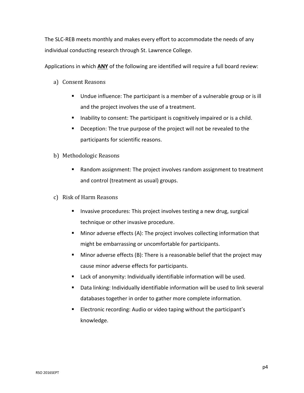The SLC-REB meets monthly and makes every effort to accommodate the needs of any individual conducting research through St. Lawrence College.

Applications in which **ANY** of the following are identified will require a full board review:

- a) Consent Reasons
	- Undue influence: The participant is a member of a vulnerable group or is ill and the project involves the use of a treatment.
	- Inability to consent: The participant is cognitively impaired or is a child.
	- Deception: The true purpose of the project will not be revealed to the participants for scientific reasons.
- b) Methodologic Reasons
	- Random assignment: The project involves random assignment to treatment and control (treatment as usual) groups.
- c) Risk of Harm Reasons
	- Invasive procedures: This project involves testing a new drug, surgical technique or other invasive procedure.
	- Minor adverse effects (A): The project involves collecting information that might be embarrassing or uncomfortable for participants.
	- Minor adverse effects (B): There is a reasonable belief that the project may cause minor adverse effects for participants.
	- Lack of anonymity: Individually identifiable information will be used.
	- Data linking: Individually identifiable information will be used to link several databases together in order to gather more complete information.
	- Electronic recording: Audio or video taping without the participant's knowledge.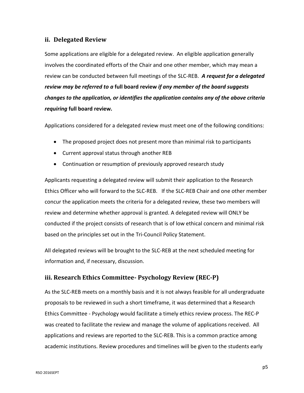#### <span id="page-6-0"></span>**ii. Delegated Review**

Some applications are eligible for a delegated review. An eligible application generally involves the coordinated efforts of the Chair and one other member, which may mean a review can be conducted between full meetings of the SLC-REB. *A request for a delegated review may be referred to a* **full board review** *if any member of the board suggests changes to the application, or identifies the application contains any of the above criteria requiring* **full board review***.*

Applications considered for a delegated review must meet one of the following conditions:

- The proposed project does not present more than minimal risk to participants
- Current approval status through another REB
- Continuation or resumption of previously approved research study

Applicants requesting a delegated review will submit their application to the Research Ethics Officer who will forward to the SLC-REB. If the SLC-REB Chair and one other member concur the application meets the criteria for a delegated review, these two members will review and determine whether approval is granted. A delegated review will ONLY be conducted if the project consists of research that is of low ethical concern and minimal risk based on the principles set out in the Tri-Council Policy Statement.

All delegated reviews will be brought to the SLC-REB at the next scheduled meeting for information and, if necessary, discussion.

### <span id="page-6-1"></span>**iii. Research Ethics Committee- Psychology Review (REC-P)**

As the SLC-REB meets on a monthly basis and it is not always feasible for all undergraduate proposals to be reviewed in such a short timeframe, it was determined that a Research Ethics Committee - Psychology would facilitate a timely ethics review process. The REC-P was created to facilitate the review and manage the volume of applications received. All applications and reviews are reported to the SLC-REB. This is a common practice among academic institutions. Review procedures and timelines will be given to the students early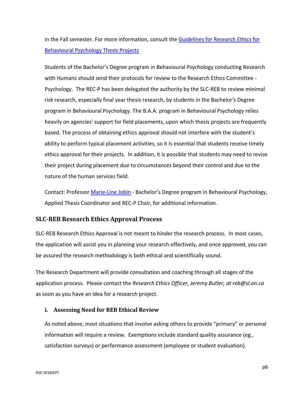in the Fall semester. For more information, consult th[e Guidelines for Research Ethics for](file:///S:/AppliedResearch/REB/REC-P/Guidelines%20for%20Research%20Ethics%20for%20Behavioural%20Psychology%20Thesis%20Projects_2016SEPT.pdf)  [Behavioural Psychology Thesis Projects](file:///S:/AppliedResearch/REB/REC-P/Guidelines%20for%20Research%20Ethics%20for%20Behavioural%20Psychology%20Thesis%20Projects_2016SEPT.pdf)

Students of the Bachelor's Degree program in Behavioural Psychology conducting Research with Humans should send their protocols for review to the Research Ethics Committee - Psychology. The REC-P has been delegated the authority by the SLC-REB to review minimal risk research, especially final year thesis research, by students in the Bachelor's Degree program in Behavioural Psychology. The B.A.A. program in Behavioural Psychology relies heavily on agencies' support for field placements, upon which thesis projects are frequently based. The process of obtaining ethics approval should not interfere with the student's ability to perform typical placement activities, so it is essential that students receive timely ethics approval for their projects. In addition, it is possible that students may need to revise their project during placement due to circumstances beyond their control and due to the nature of the human services field.

Contact: Professor [Marie-Line Jobin](mailto:mJobin@sl.on.ca) - Bachelor's Degree program in Behavioural Psychology, Applied Thesis Coordinator and REC-P Chair, for additional information.

# <span id="page-7-0"></span>**SLC-REB Research Ethics Approval Process**

SLC-REB Research Ethics Approval is not meant to hinder the research process. In most cases, the application will assist you in planning your research effectively, and once approved, you can be assured the research methodology is both ethical and scientifically sound.

The Research Department will provide consultation and coaching through all stages of the application process. Please contact the *Research Ethics Officer, Jeremy Butler, at reb@sl.on.ca* as soon as you have an idea for a research project.

### <span id="page-7-1"></span>**i. Assessing Need for REB Ethical Review**

As noted above, most situations that involve asking others to provide "primary" or personal information will require a review. Exemptions include standard quality assurance (eg., satisfaction surveys) or performance assessment (employee or student evaluation).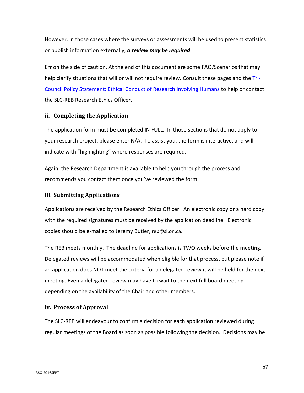However, in those cases where the surveys or assessments will be used to present statistics or publish information externally, *a review may be required*.

Err on the side of caution. At the end of this document are some FAQ/Scenarios that may help clarify situations that will or will not require review. Consult these pages and the [Tri-](http://www.pre.ethics.gc.ca/pdf/eng/tcps2-2014/TCPS_2_FINAL_Web.pdf)[Council Policy Statement: Ethical Conduct of Research Involving Humans](http://www.pre.ethics.gc.ca/pdf/eng/tcps2-2014/TCPS_2_FINAL_Web.pdf) to help or contact the SLC-REB Research Ethics Officer.

#### <span id="page-8-0"></span>**ii. Completing the Application**

The application form must be completed IN FULL. In those sections that do not apply to your research project, please enter N/A. To assist you, the form is interactive, and will indicate with "highlighting" where responses are required.

Again, the Research Department is available to help you through the process and recommends you contact them once you've reviewed the form.

#### <span id="page-8-1"></span>**iii. Submitting Applications**

Applications are received by the Research Ethics Officer. An electronic copy or a hard copy with the required signatures must be received by the application deadline. Electronic copies should be e-mailed to Jeremy Butler, reb@sl.on.ca.

The REB meets monthly. The deadline for applications is TWO weeks before the meeting. Delegated reviews will be accommodated when eligible for that process, but please note if an application does NOT meet the criteria for a delegated review it will be held for the next meeting. Even a delegated review may have to wait to the next full board meeting depending on the availability of the Chair and other members.

#### <span id="page-8-2"></span>**iv. Process of Approval**

The SLC-REB will endeavour to confirm a decision for each application reviewed during regular meetings of the Board as soon as possible following the decision. Decisions may be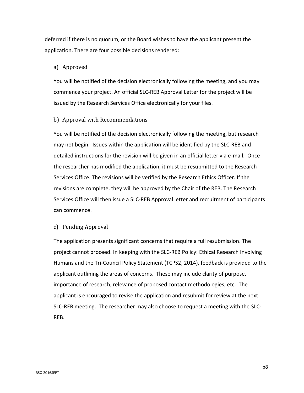deferred if there is no quorum, or the Board wishes to have the applicant present the application. There are four possible decisions rendered:

#### a) Approved

You will be notified of the decision electronically following the meeting, and you may commence your project. An official SLC-REB Approval Letter for the project will be issued by the Research Services Office electronically for your files.

#### b) Approval with Recommendations

You will be notified of the decision electronically following the meeting, but research may not begin. Issues within the application will be identified by the SLC-REB and detailed instructions for the revision will be given in an official letter via e-mail. Once the researcher has modified the application, it must be resubmitted to the Research Services Office. The revisions will be verified by the Research Ethics Officer. If the revisions are complete, they will be approved by the Chair of the REB. The Research Services Office will then issue a SLC-REB Approval letter and recruitment of participants can commence.

#### c) Pending Approval

The application presents significant concerns that require a full resubmission. The project cannot proceed. In keeping with the SLC-REB Policy: Ethical Research Involving Humans and the Tri-Council Policy Statement (TCPS2, 2014), feedback is provided to the applicant outlining the areas of concerns. These may include clarity of purpose, importance of research, relevance of proposed contact methodologies, etc. The applicant is encouraged to revise the application and resubmit for review at the next SLC-REB meeting. The researcher may also choose to request a meeting with the SLC-REB.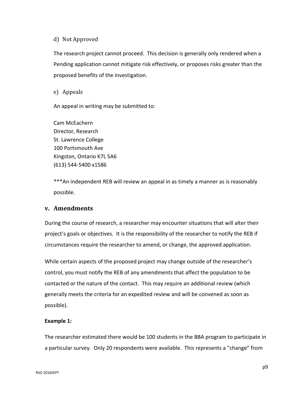#### d) Not Approved

The research project cannot proceed. This decision is generally only rendered when a Pending application cannot mitigate risk effectively, or proposes risks greater than the proposed benefits of the investigation.

e) Appeals

An appeal in writing may be submitted to:

Cam McEachern Director, Research St. Lawrence College 100 Portsmouth Ave Kingston, Ontario K7L 5A6 (613) 544-5400 x1586

\*\*\*An independent REB will review an appeal in as timely a manner as is reasonably possible.

### <span id="page-10-0"></span>**v. Amendments**

During the course of research, a researcher may encounter situations that will alter their project's goals or objectives. It is the responsibility of the researcher to notify the REB if circumstances require the researcher to amend, or change, the approved application.

While certain aspects of the proposed project may change outside of the researcher's control, you must notify the REB of any amendments that affect the population to be contacted or the nature of the contact. This may require an additional review (which generally meets the criteria for an expedited review and will be convened as soon as possible).

#### **Example 1:**

The researcher estimated there would be 100 students in the BBA program to participate in a particular survey. Only 20 respondents were available. This represents a "change" from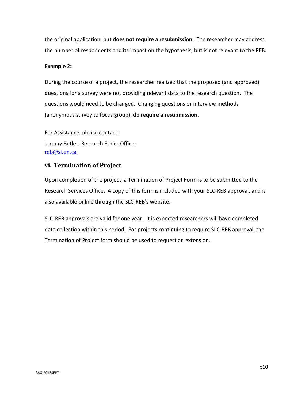the original application, but **does not require a resubmission**. The researcher may address the number of respondents and its impact on the hypothesis, but is not relevant to the REB.

#### **Example 2:**

During the course of a project, the researcher realized that the proposed (and approved) questions for a survey were not providing relevant data to the research question. The questions would need to be changed. Changing questions or interview methods (anonymous survey to focus group), **do require a resubmission.**

For Assistance, please contact: Jeremy Butler, Research Ethics Officer [reb@sl.on.ca](mailto:awright@sl.on.ca)

#### <span id="page-11-0"></span>**vi. Termination of Project**

Upon completion of the project, a Termination of Project Form is to be submitted to the Research Services Office. A copy of this form is included with your SLC-REB approval, and is also available online through the SLC-REB's website.

SLC-REB approvals are valid for one year. It is expected researchers will have completed data collection within this period. For projects continuing to require SLC-REB approval, the Termination of Project form should be used to request an extension.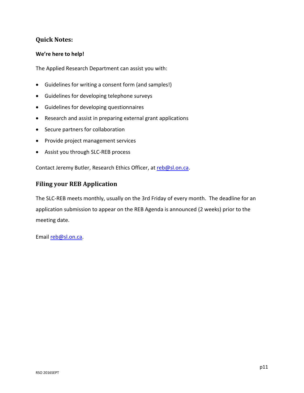# <span id="page-12-0"></span>**Quick Notes:**

#### **We're here to help!**

The Applied Research Department can assist you with:

- Guidelines for writing a consent form (and samples!)
- Guidelines for developing telephone surveys
- Guidelines for developing questionnaires
- Research and assist in preparing external grant applications
- Secure partners for collaboration
- Provide project management services
- Assist you through SLC-REB process

Contact Jeremy Butler, Research Ethics Officer, at [reb@sl.on.ca.](mailto:awright@sl.on.ca)

# <span id="page-12-1"></span>**Filing your REB Application**

The SLC-REB meets monthly, usually on the 3rd Friday of every month. The deadline for an application submission to appear on the REB Agenda is announced (2 weeks) prior to the meeting date.

Email [reb@sl.on.ca.](mailto:awright@sl.on.ca)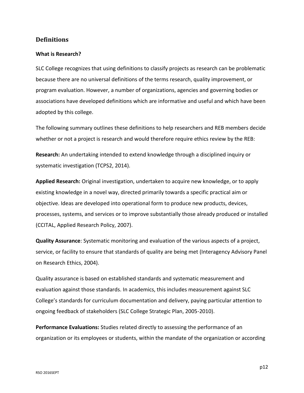#### <span id="page-13-0"></span>**Definitions**

#### **What is Research?**

SLC College recognizes that using definitions to classify projects as research can be problematic because there are no universal definitions of the terms research, quality improvement, or program evaluation. However, a number of organizations, agencies and governing bodies or associations have developed definitions which are informative and useful and which have been adopted by this college.

The following summary outlines these definitions to help researchers and REB members decide whether or not a project is research and would therefore require ethics review by the REB:

**Research:** An undertaking intended to extend knowledge through a disciplined inquiry or systematic investigation (TCPS2, 2014).

**Applied Research:** Original investigation, undertaken to acquire new knowledge, or to apply existing knowledge in a novel way, directed primarily towards a specific practical aim or objective. Ideas are developed into operational form to produce new products, devices, processes, systems, and services or to improve substantially those already produced or installed (CCITAL, Applied Research Policy, 2007).

**Quality Assurance**: Systematic monitoring and evaluation of the various aspects of a project, service, or facility to ensure that standards of quality are being met (Interagency Advisory Panel on Research Ethics, 2004).

Quality assurance is based on established standards and systematic measurement and evaluation against those standards. In academics, this includes measurement against SLC College's standards for curriculum documentation and delivery, paying particular attention to ongoing feedback of stakeholders (SLC College Strategic Plan, 2005-2010).

**Performance Evaluations:** Studies related directly to assessing the performance of an organization or its employees or students, within the mandate of the organization or according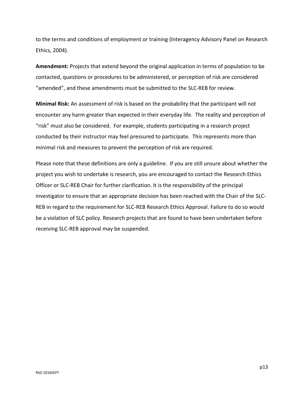to the terms and conditions of employment or training (Interagency Advisory Panel on Research Ethics, 2004).

**Amendment:** Projects that extend beyond the original application in terms of population to be contacted, questions or procedures to be administered, or perception of risk are considered "amended", and these amendments must be submitted to the SLC-REB for review.

**Minimal Risk:** An assessment of risk is based on the probability that the participant will not encounter any harm greater than expected in their everyday life. The reality and perception of "risk" must also be considered. For example, students participating in a research project conducted by their instructor may feel pressured to participate. This represents more than minimal risk and measures to prevent the perception of risk are required.

Please note that these definitions are only a guideline. If you are still unsure about whether the project you wish to undertake is research, you are encouraged to contact the Research Ethics Officer or SLC-REB Chair for further clarification. It is the responsibility of the principal investigator to ensure that an appropriate decision has been reached with the Chair of the SLC-REB in regard to the requirement for SLC-REB Research Ethics Approval. Failure to do so would be a violation of SLC policy. Research projects that are found to have been undertaken before receiving SLC-REB approval may be suspended.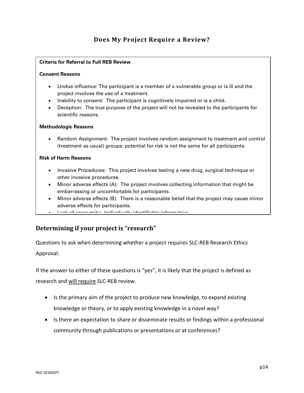# **Does My Project Require a Review?**

#### <span id="page-15-0"></span>**Criteria for Referral to Full REB Review**

#### **Consent Reasons**

- Undue influence: The participant is a member of a vulnerable group or is ill and the project involves the use of a treatment.
- Inability to consent: The participant is cognitively impaired or is a child.
- Deception: The true purpose of the project will not be revealed to the participants for scientific reasons.

#### **Methodologic Reasons**

• Random Assignment: The project involves random assignment to treatment and control (treatment as usual) groups; potential for risk is not the same for all participants.

#### **Risk of Harm Reasons**

- Invasive Procedures: This project involves testing a new drug, surgical technique or other invasive procedures.
- Minor adverse effects (A): The project involves collecting information that might be embarrassing or uncomfortable for participants.
- Minor adverse effects (B): There is a reasonable belief that the project may cause minor adverse effects for participants.
- Lack of anonymity: Individually identifiable information

# <span id="page-15-1"></span>**Determining if your project is "research"**

Questions to ask when determining whether a project requires SLC-REB Research Ethics Approval:

If the answer to either of these questions is "yes", it is likely that the project is defined as research and will require SLC-REB review.

- Is the primary aim of the project to produce new knowledge, to expand existing knowledge or theory, or to apply existing knowledge in a novel way?
- Is there an expectation to share or disseminate results or findings within a professional community through publications or presentations or at conferences?